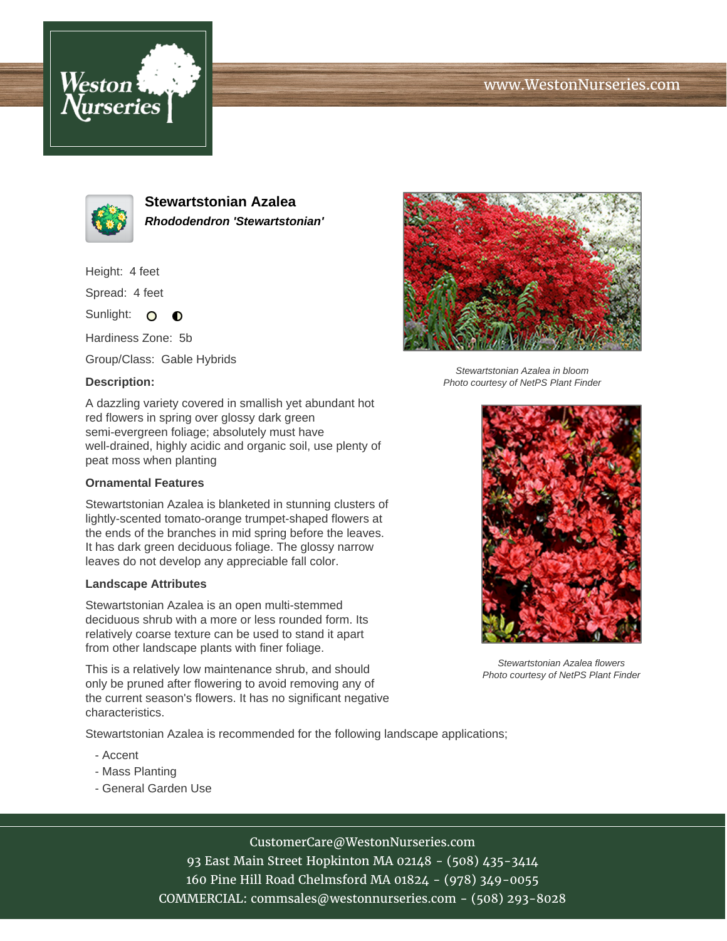# www.WestonNurseries.com





**Stewartstonian Azalea Rhododendron 'Stewartstonian'**

Height: 4 feet

Spread: 4 feet

Sunlight: O  $\bullet$ 

Hardiness Zone: 5b

Group/Class: Gable Hybrids

### **Description:**

A dazzling variety covered in smallish yet abundant hot red flowers in spring over glossy dark green semi-evergreen foliage; absolutely must have well-drained, highly acidic and organic soil, use plenty of peat moss when planting

#### **Ornamental Features**

Stewartstonian Azalea is blanketed in stunning clusters of lightly-scented tomato-orange trumpet-shaped flowers at the ends of the branches in mid spring before the leaves. It has dark green deciduous foliage. The glossy narrow leaves do not develop any appreciable fall color.

#### **Landscape Attributes**

Stewartstonian Azalea is an open multi-stemmed deciduous shrub with a more or less rounded form. Its relatively coarse texture can be used to stand it apart from other landscape plants with finer foliage.

This is a relatively low maintenance shrub, and should only be pruned after flowering to avoid removing any of the current season's flowers. It has no significant negative characteristics.

Stewartstonian Azalea is recommended for the following landscape applications;

- Accent
- Mass Planting
- General Garden Use



Stewartstonian Azalea in bloom Photo courtesy of NetPS Plant Finder



Stewartstonian Azalea flowers Photo courtesy of NetPS Plant Finder

CustomerCare@WestonNurseries.com

93 East Main Street Hopkinton MA 02148 - (508) 435-3414 160 Pine Hill Road Chelmsford MA 01824 - (978) 349-0055 COMMERCIAL: commsales@westonnurseries.com - (508) 293-8028